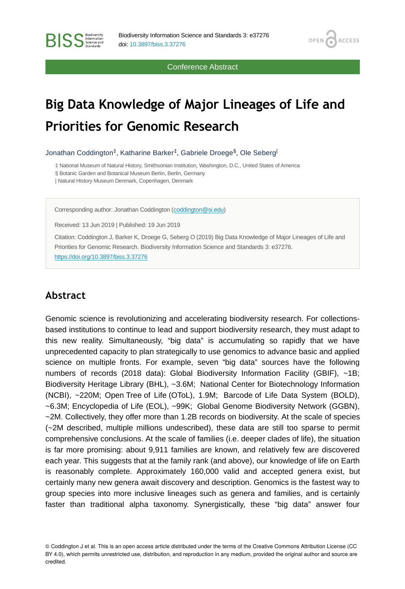Conference Abstract

**OPEN** 

**ACCESS** 

# **Big Data Knowledge of Major Lineages of Life and Priorities for Genomic Research**

Jonathan Coddington<sup>‡</sup>, Katharine Barker<sup>‡</sup>, Gabriele Droege<sup>§</sup>, Ole Seberg<sup>l</sup>

‡ National Museum of Natural History, Smithsonian Institution, Washington, D.C., United States of America

§ Botanic Garden and Botanical Museum Berlin, Berlin, Germany

| Natural History Museum Denmark, Copenhagen, Denmark

Corresponding author: Jonathan Coddington [\(coddington@si.edu](mailto:coddington@si.edu))

Received: 13 Jun 2019 | Published: 19 Jun 2019

Citation: Coddington J, Barker K, Droege G, Seberg O (2019) Big Data Knowledge of Major Lineages of Life and Priorities for Genomic Research. Biodiversity Information Science and Standards 3: e37276. <https://doi.org/10.3897/biss.3.37276>

# **Abstract**

**BISS** Steence and

Genomic science is revolutionizing and accelerating biodiversity research. For collectionsbased institutions to continue to lead and support biodiversity research, they must adapt to this new reality. Simultaneously, "big data" is accumulating so rapidly that we have unprecedented capacity to plan strategically to use genomics to advance basic and applied science on multiple fronts. For example, seven "big data" sources have the following numbers of records (2018 data): Global Biodiversity Information Facility (GBIF), ~1B; Biodiversity Heritage Library (BHL), ~3.6M; National Center for Biotechnology Information (NCBI), ~220M; Open Tree of Life (OToL), 1.9M; Barcode of Life Data System (BOLD), ~6.3M; Encyclopedia of Life (EOL), ~99K; Global Genome Biodiversity Network (GGBN), ~2M. Collectively, they offer more than 1.2B records on biodiversity. At the scale of species (~2M described, multiple millions undescribed), these data are still too sparse to permit comprehensive conclusions. At the scale of families (i.e. deeper clades of life), the situation is far more promising: about 9,911 families are known, and relatively few are discovered each year. This suggests that at the family rank (and above), our knowledge of life on Earth is reasonably complete. Approximately 160,000 valid and accepted genera exist, but certainly many new genera await discovery and description. Genomics is the fastest way to group species into more inclusive lineages such as genera and families, and is certainly faster than traditional alpha taxonomy. Synergistically, these "big data" answer four

© Coddington J et al. This is an open access article distributed under the terms of the Creative Commons Attribution License (CC BY 4.0), which permits unrestricted use, distribution, and reproduction in any medium, provided the original author and source are credited.